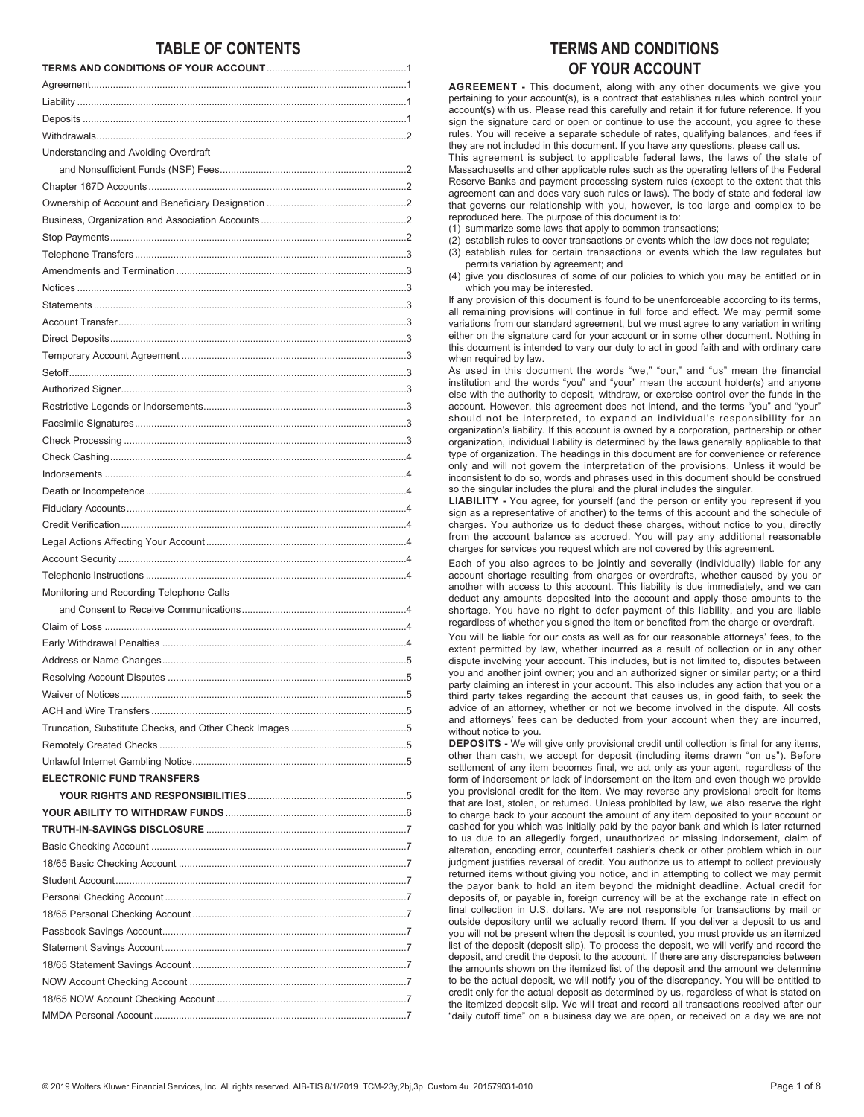# **TABLE OF CONTENTS**

| Understanding and Avoiding Overdraft     |
|------------------------------------------|
|                                          |
|                                          |
|                                          |
|                                          |
|                                          |
|                                          |
|                                          |
|                                          |
|                                          |
|                                          |
|                                          |
|                                          |
|                                          |
|                                          |
|                                          |
|                                          |
|                                          |
|                                          |
|                                          |
|                                          |
|                                          |
|                                          |
|                                          |
|                                          |
|                                          |
| Monitoring and Recording Telephone Calls |
|                                          |
|                                          |
|                                          |
|                                          |
|                                          |
|                                          |
|                                          |
|                                          |
|                                          |
|                                          |
| <b>ELECTRONIC FUND TRANSFERS</b>         |
|                                          |
|                                          |
|                                          |
|                                          |
|                                          |
|                                          |
|                                          |
|                                          |
|                                          |
|                                          |
|                                          |
|                                          |
|                                          |
|                                          |

# **TERMS AND CONDITIONS OF YOUR ACCOUNT**

**AGREEMENT -** This document, along with any other documents we give you pertaining to your account(s), is a contract that establishes rules which control your account(s) with us. Please read this carefully and retain it for future reference. If you sign the signature card or open or continue to use the account, you agree to these rules. You will receive a separate schedule of rates, qualifying balances, and fees if they are not included in this document. If you have any questions, please call us.

This agreement is subject to applicable federal laws, the laws of the state of Massachusetts and other applicable rules such as the operating letters of the Federal Reserve Banks and payment processing system rules (except to the extent that this agreement can and does vary such rules or laws). The body of state and federal law that governs our relationship with you, however, is too large and complex to be reproduced here. The purpose of this document is to:

(1) summarize some laws that apply to common transactions;

- (2) establish rules to cover transactions or events which the law does not regulate;
- (3) establish rules for certain transactions or events which the law regulates but permits variation by agreement; and

(4) give you disclosures of some of our policies to which you may be entitled or in which you may be interested.

If any provision of this document is found to be unenforceable according to its terms, all remaining provisions will continue in full force and effect. We may permit some variations from our standard agreement, but we must agree to any variation in writing either on the signature card for your account or in some other document. Nothing in this document is intended to vary our duty to act in good faith and with ordinary care when required by law.

As used in this document the words "we," "our," and "us" mean the financial institution and the words "you" and "your" mean the account holder(s) and anyone else with the authority to deposit, withdraw, or exercise control over the funds in the account. However, this agreement does not intend, and the terms "you" and "your" should not be interpreted, to expand an individual's responsibility for an organization's liability. If this account is owned by a corporation, partnership or other organization, individual liability is determined by the laws generally applicable to that type of organization. The headings in this document are for convenience or reference only and will not govern the interpretation of the provisions. Unless it would be inconsistent to do so, words and phrases used in this document should be construed so the singular includes the plural and the plural includes the singular.

**LIABILITY -** You agree, for yourself (and the person or entity you represent if you sign as a representative of another) to the terms of this account and the schedule of charges. You authorize us to deduct these charges, without notice to you, directly from the account balance as accrued. You will pay any additional reasonable charges for services you request which are not covered by this agreement.

Each of you also agrees to be jointly and severally (individually) liable for any account shortage resulting from charges or overdrafts, whether caused by you or another with access to this account. This liability is due immediately, and we can deduct any amounts deposited into the account and apply those amounts to the shortage. You have no right to defer payment of this liability, and you are liable regardless of whether you signed the item or benefited from the charge or overdraft.

You will be liable for our costs as well as for our reasonable attorneys' fees, to the extent permitted by law, whether incurred as a result of collection or in any other dispute involving your account. This includes, but is not limited to, disputes between you and another joint owner; you and an authorized signer or similar party; or a third party claiming an interest in your account. This also includes any action that you or a third party takes regarding the account that causes us, in good faith, to seek the advice of an attorney, whether or not we become involved in the dispute. All costs and attorneys' fees can be deducted from your account when they are incurred, without notice to you.

**DEPOSITS -** We will give only provisional credit until collection is final for any items, other than cash, we accept for deposit (including items drawn "on us"). Before settlement of any item becomes final, we act only as your agent, regardless of the form of indorsement or lack of indorsement on the item and even though we provide you provisional credit for the item. We may reverse any provisional credit for items that are lost, stolen, or returned. Unless prohibited by law, we also reserve the right to charge back to your account the amount of any item deposited to your account or cashed for you which was initially paid by the payor bank and which is later returned to us due to an allegedly forged, unauthorized or missing indorsement, claim of alteration, encoding error, counterfeit cashier's check or other problem which in our judgment justifies reversal of credit. You authorize us to attempt to collect previously returned items without giving you notice, and in attempting to collect we may permit the payor bank to hold an item beyond the midnight deadline. Actual credit for deposits of, or payable in, foreign currency will be at the exchange rate in effect on final collection in U.S. dollars. We are not responsible for transactions by mail or outside depository until we actually record them. If you deliver a deposit to us and you will not be present when the deposit is counted, you must provide us an itemized list of the deposit (deposit slip). To process the deposit, we will verify and record the deposit, and credit the deposit to the account. If there are any discrepancies between the amounts shown on the itemized list of the deposit and the amount we determine to be the actual deposit, we will notify you of the discrepancy. You will be entitled to credit only for the actual deposit as determined by us, regardless of what is stated on the itemized deposit slip. We will treat and record all transactions received after our "daily cutoff time" on a business day we are open, or received on a day we are not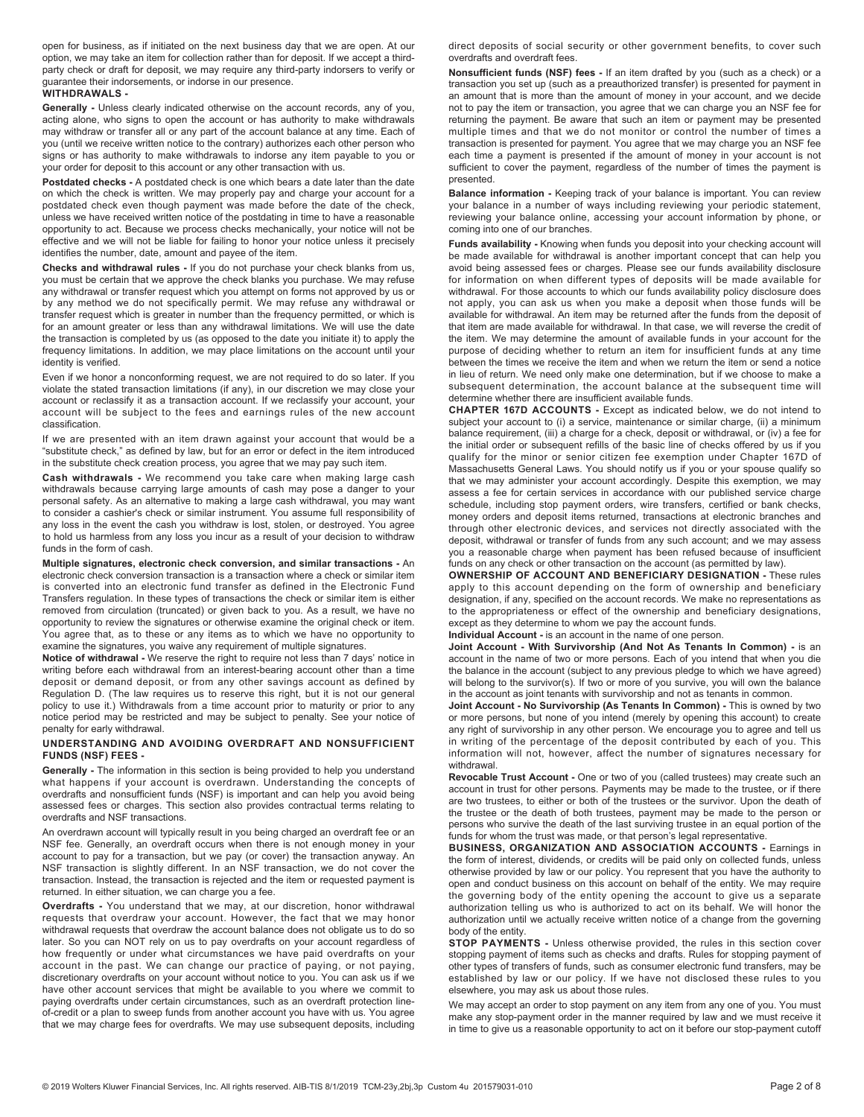open for business, as if initiated on the next business day that we are open. At our option, we may take an item for collection rather than for deposit. If we accept a thirdparty check or draft for deposit, we may require any third-party indorsers to verify or guarantee their indorsements, or indorse in our presence.

## **WITHDRAWALS -**

**Generally -** Unless clearly indicated otherwise on the account records, any of you, acting alone, who signs to open the account or has authority to make withdrawals may withdraw or transfer all or any part of the account balance at any time. Each of you (until we receive written notice to the contrary) authorizes each other person who signs or has authority to make withdrawals to indorse any item payable to you or your order for deposit to this account or any other transaction with us.

**Postdated checks -** A postdated check is one which bears a date later than the date on which the check is written. We may properly pay and charge your account for a postdated check even though payment was made before the date of the check, unless we have received written notice of the postdating in time to have a reasonable opportunity to act. Because we process checks mechanically, your notice will not be effective and we will not be liable for failing to honor your notice unless it precisely identifies the number, date, amount and payee of the item.

**Checks and withdrawal rules -** If you do not purchase your check blanks from us, you must be certain that we approve the check blanks you purchase. We may refuse any withdrawal or transfer request which you attempt on forms not approved by us or by any method we do not specifically permit. We may refuse any withdrawal or transfer request which is greater in number than the frequency permitted, or which is for an amount greater or less than any withdrawal limitations. We will use the date the transaction is completed by us (as opposed to the date you initiate it) to apply the frequency limitations. In addition, we may place limitations on the account until your identity is verified.

Even if we honor a nonconforming request, we are not required to do so later. If you violate the stated transaction limitations (if any), in our discretion we may close your account or reclassify it as a transaction account. If we reclassify your account, your account will be subject to the fees and earnings rules of the new account classification.

If we are presented with an item drawn against your account that would be a "substitute check," as defined by law, but for an error or defect in the item introduced in the substitute check creation process, you agree that we may pay such item.

**Cash withdrawals -** We recommend you take care when making large cash withdrawals because carrying large amounts of cash may pose a danger to your personal safety. As an alternative to making a large cash withdrawal, you may want to consider a cashier's check or similar instrument. You assume full responsibility of any loss in the event the cash you withdraw is lost, stolen, or destroyed. You agree to hold us harmless from any loss you incur as a result of your decision to withdraw funds in the form of cash.

**Multiple signatures, electronic check conversion, and similar transactions -** An electronic check conversion transaction is a transaction where a check or similar item is converted into an electronic fund transfer as defined in the Electronic Fund Transfers regulation. In these types of transactions the check or similar item is either removed from circulation (truncated) or given back to you. As a result, we have no opportunity to review the signatures or otherwise examine the original check or item. You agree that, as to these or any items as to which we have no opportunity to examine the signatures, you waive any requirement of multiple signatures.

**Notice of withdrawal -** We reserve the right to require not less than 7 days' notice in writing before each withdrawal from an interest-bearing account other than a time deposit or demand deposit, or from any other savings account as defined by Regulation D. (The law requires us to reserve this right, but it is not our general policy to use it.) Withdrawals from a time account prior to maturity or prior to any notice period may be restricted and may be subject to penalty. See your notice of penalty for early withdrawal.

#### **UNDERSTANDING AND AVOIDING OVERDRAFT AND NONSUFFICIENT FUNDS (NSF) FEES -**

**Generally -** The information in this section is being provided to help you understand what happens if your account is overdrawn. Understanding the concepts of overdrafts and nonsufficient funds (NSF) is important and can help you avoid being assessed fees or charges. This section also provides contractual terms relating to overdrafts and NSF transactions.

An overdrawn account will typically result in you being charged an overdraft fee or an NSF fee. Generally, an overdraft occurs when there is not enough money in your account to pay for a transaction, but we pay (or cover) the transaction anyway. An NSF transaction is slightly different. In an NSF transaction, we do not cover the transaction. Instead, the transaction is rejected and the item or requested payment is returned. In either situation, we can charge you a fee.

**Overdrafts -** You understand that we may, at our discretion, honor withdrawal requests that overdraw your account. However, the fact that we may honor withdrawal requests that overdraw the account balance does not obligate us to do so later. So you can NOT rely on us to pay overdrafts on your account regardless of how frequently or under what circumstances we have paid overdrafts on your account in the past. We can change our practice of paying, or not paying, discretionary overdrafts on your account without notice to you. You can ask us if we have other account services that might be available to you where we commit to paying overdrafts under certain circumstances, such as an overdraft protection lineof-credit or a plan to sweep funds from another account you have with us. You agree that we may charge fees for overdrafts. We may use subsequent deposits, including direct deposits of social security or other government benefits, to cover such overdrafts and overdraft fees.

**Nonsufficient funds (NSF) fees -** If an item drafted by you (such as a check) or a transaction you set up (such as a preauthorized transfer) is presented for payment in an amount that is more than the amount of money in your account, and we decide not to pay the item or transaction, you agree that we can charge you an NSF fee for returning the payment. Be aware that such an item or payment may be presented multiple times and that we do not monitor or control the number of times a transaction is presented for payment. You agree that we may charge you an NSF fee each time a payment is presented if the amount of money in your account is not sufficient to cover the payment, regardless of the number of times the payment is presented.

**Balance information -** Keeping track of your balance is important. You can review your balance in a number of ways including reviewing your periodic statement, reviewing your balance online, accessing your account information by phone, or coming into one of our branches.

**Funds availability -** Knowing when funds you deposit into your checking account will be made available for withdrawal is another important concept that can help you avoid being assessed fees or charges. Please see our funds availability disclosure for information on when different types of deposits will be made available for withdrawal. For those accounts to which our funds availability policy disclosure does not apply, you can ask us when you make a deposit when those funds will be available for withdrawal. An item may be returned after the funds from the deposit of that item are made available for withdrawal. In that case, we will reverse the credit of the item. We may determine the amount of available funds in your account for the purpose of deciding whether to return an item for insufficient funds at any time between the times we receive the item and when we return the item or send a notice in lieu of return. We need only make one determination, but if we choose to make a subsequent determination, the account balance at the subsequent time will determine whether there are insufficient available funds.

**CHAPTER 167D ACCOUNTS -** Except as indicated below, we do not intend to subject your account to (i) a service, maintenance or similar charge, (ii) a minimum balance requirement, (iii) a charge for a check, deposit or withdrawal, or (iv) a fee for the initial order or subsequent refills of the basic line of checks offered by us if you qualify for the minor or senior citizen fee exemption under Chapter 167D of Massachusetts General Laws. You should notify us if you or your spouse qualify so that we may administer your account accordingly. Despite this exemption, we may assess a fee for certain services in accordance with our published service charge schedule, including stop payment orders, wire transfers, certified or bank checks, money orders and deposit items returned, transactions at electronic branches and through other electronic devices, and services not directly associated with the deposit, withdrawal or transfer of funds from any such account; and we may assess you a reasonable charge when payment has been refused because of insufficient funds on any check or other transaction on the account (as permitted by law).

**OWNERSHIP OF ACCOUNT AND BENEFICIARY DESIGNATION -** These rules apply to this account depending on the form of ownership and beneficiary designation, if any, specified on the account records. We make no representations as to the appropriateness or effect of the ownership and beneficiary designations, except as they determine to whom we pay the account funds.

## **Individual Account -** is an account in the name of one person.

**Joint Account - With Survivorship (And Not As Tenants In Common) -** is an account in the name of two or more persons. Each of you intend that when you die the balance in the account (subject to any previous pledge to which we have agreed) will belong to the survivor(s). If two or more of you survive, you will own the balance in the account as joint tenants with survivorship and not as tenants in common.

**Joint Account - No Survivorship (As Tenants In Common) -** This is owned by two or more persons, but none of you intend (merely by opening this account) to create any right of survivorship in any other person. We encourage you to agree and tell us in writing of the percentage of the deposit contributed by each of you. This information will not, however, affect the number of signatures necessary for withdrawal.

**Revocable Trust Account -** One or two of you (called trustees) may create such an account in trust for other persons. Payments may be made to the trustee, or if there are two trustees, to either or both of the trustees or the survivor. Upon the death of the trustee or the death of both trustees, payment may be made to the person or persons who survive the death of the last surviving trustee in an equal portion of the funds for whom the trust was made, or that person's legal representative.

**BUSINESS, ORGANIZATION AND ASSOCIATION ACCOUNTS -** Earnings in the form of interest, dividends, or credits will be paid only on collected funds, unless otherwise provided by law or our policy. You represent that you have the authority to open and conduct business on this account on behalf of the entity. We may require the governing body of the entity opening the account to give us a separate authorization telling us who is authorized to act on its behalf. We will honor the authorization until we actually receive written notice of a change from the governing body of the entity.

**STOP PAYMENTS -** Unless otherwise provided, the rules in this section cover stopping payment of items such as checks and drafts. Rules for stopping payment of other types of transfers of funds, such as consumer electronic fund transfers, may be established by law or our policy. If we have not disclosed these rules to you elsewhere, you may ask us about those rules.

We may accept an order to stop payment on any item from any one of you. You must make any stop-payment order in the manner required by law and we must receive it in time to give us a reasonable opportunity to act on it before our stop-payment cutoff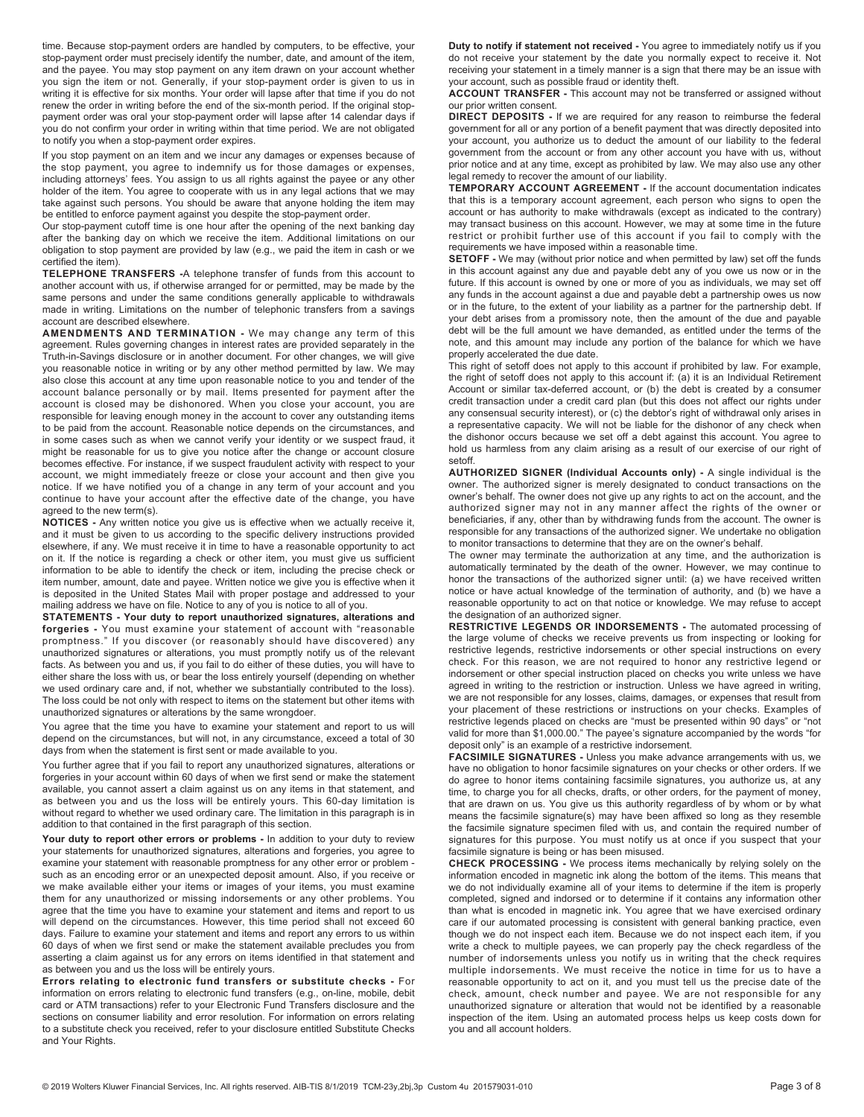time. Because stop-payment orders are handled by computers, to be effective, your stop-payment order must precisely identify the number, date, and amount of the item, and the payee. You may stop payment on any item drawn on your account whether you sign the item or not. Generally, if your stop-payment order is given to us in writing it is effective for six months. Your order will lapse after that time if you do not renew the order in writing before the end of the six-month period. If the original stoppayment order was oral your stop-payment order will lapse after 14 calendar days if you do not confirm your order in writing within that time period. We are not obligated to notify you when a stop-payment order expires.

If you stop payment on an item and we incur any damages or expenses because of the stop payment, you agree to indemnify us for those damages or expenses, including attorneys' fees. You assign to us all rights against the payee or any other holder of the item. You agree to cooperate with us in any legal actions that we may take against such persons. You should be aware that anyone holding the item may be entitled to enforce payment against you despite the stop-payment order.

Our stop-payment cutoff time is one hour after the opening of the next banking day after the banking day on which we receive the item. Additional limitations on our obligation to stop payment are provided by law (e.g., we paid the item in cash or we certified the item).

**TELEPHONE TRANSFERS -**A telephone transfer of funds from this account to another account with us, if otherwise arranged for or permitted, may be made by the same persons and under the same conditions generally applicable to withdrawals made in writing. Limitations on the number of telephonic transfers from a savings account are described elsewhere.

**AMENDMENTS AND TERMINATION -** We may change any term of this agreement. Rules governing changes in interest rates are provided separately in the Truth-in-Savings disclosure or in another document. For other changes, we will give you reasonable notice in writing or by any other method permitted by law. We may also close this account at any time upon reasonable notice to you and tender of the account balance personally or by mail. Items presented for payment after the account is closed may be dishonored. When you close your account, you are responsible for leaving enough money in the account to cover any outstanding items to be paid from the account. Reasonable notice depends on the circumstances, and in some cases such as when we cannot verify your identity or we suspect fraud, it might be reasonable for us to give you notice after the change or account closure becomes effective. For instance, if we suspect fraudulent activity with respect to your account, we might immediately freeze or close your account and then give you notice. If we have notified you of a change in any term of your account and you continue to have your account after the effective date of the change, you have agreed to the new term(s).

**NOTICES -** Any written notice you give us is effective when we actually receive it, and it must be given to us according to the specific delivery instructions provided elsewhere, if any. We must receive it in time to have a reasonable opportunity to act on it. If the notice is regarding a check or other item, you must give us sufficient information to be able to identify the check or item, including the precise check or item number, amount, date and payee. Written notice we give you is effective when it is deposited in the United States Mail with proper postage and addressed to your mailing address we have on file. Notice to any of you is notice to all of you.

**STATEMENTS - Your duty to report unauthorized signatures, alterations and forgeries -** You must examine your statement of account with "reasonable promptness." If you discover (or reasonably should have discovered) any unauthorized signatures or alterations, you must promptly notify us of the relevant facts. As between you and us, if you fail to do either of these duties, you will have to either share the loss with us, or bear the loss entirely yourself (depending on whether we used ordinary care and, if not, whether we substantially contributed to the loss). The loss could be not only with respect to items on the statement but other items with unauthorized signatures or alterations by the same wrongdoer.

You agree that the time you have to examine your statement and report to us will depend on the circumstances, but will not, in any circumstance, exceed a total of 30 days from when the statement is first sent or made available to you.

You further agree that if you fail to report any unauthorized signatures, alterations or forgeries in your account within 60 days of when we first send or make the statement available, you cannot assert a claim against us on any items in that statement, and as between you and us the loss will be entirely yours. This 60-day limitation is without regard to whether we used ordinary care. The limitation in this paragraph is in addition to that contained in the first paragraph of this section.

Your duty to report other errors or problems - In addition to your duty to review your statements for unauthorized signatures, alterations and forgeries, you agree to examine your statement with reasonable promptness for any other error or problem such as an encoding error or an unexpected deposit amount. Also, if you receive or we make available either your items or images of your items, you must examine them for any unauthorized or missing indorsements or any other problems. You agree that the time you have to examine your statement and items and report to us will depend on the circumstances. However, this time period shall not exceed 60 days. Failure to examine your statement and items and report any errors to us within 60 days of when we first send or make the statement available precludes you from asserting a claim against us for any errors on items identified in that statement and as between you and us the loss will be entirely yours.

**Errors relating to electronic fund transfers or substitute checks -** For information on errors relating to electronic fund transfers (e.g., on-line, mobile, debit card or ATM transactions) refer to your Electronic Fund Transfers disclosure and the sections on consumer liability and error resolution. For information on errors relating to a substitute check you received, refer to your disclosure entitled Substitute Checks and Your Rights.

**Duty to notify if statement not received -** You agree to immediately notify us if you do not receive your statement by the date you normally expect to receive it. Not receiving your statement in a timely manner is a sign that there may be an issue with your account, such as possible fraud or identity theft.

**ACCOUNT TRANSFER -** This account may not be transferred or assigned without our prior written consent.

**DIRECT DEPOSITS -** If we are required for any reason to reimburse the federal government for all or any portion of a benefit payment that was directly deposited into your account, you authorize us to deduct the amount of our liability to the federal government from the account or from any other account you have with us, without prior notice and at any time, except as prohibited by law. We may also use any other legal remedy to recover the amount of our liability.

**TEMPORARY ACCOUNT AGREEMENT -** If the account documentation indicates that this is a temporary account agreement, each person who signs to open the account or has authority to make withdrawals (except as indicated to the contrary) may transact business on this account. However, we may at some time in the future restrict or prohibit further use of this account if you fail to comply with the requirements we have imposed within a reasonable time.

**SETOFF -** We may (without prior notice and when permitted by law) set off the funds in this account against any due and payable debt any of you owe us now or in the future. If this account is owned by one or more of you as individuals, we may set off any funds in the account against a due and payable debt a partnership owes us now or in the future, to the extent of your liability as a partner for the partnership debt. If your debt arises from a promissory note, then the amount of the due and payable debt will be the full amount we have demanded, as entitled under the terms of the note, and this amount may include any portion of the balance for which we have properly accelerated the due date.

This right of setoff does not apply to this account if prohibited by law. For example, the right of setoff does not apply to this account if: (a) it is an Individual Retirement Account or similar tax-deferred account, or (b) the debt is created by a consumer credit transaction under a credit card plan (but this does not affect our rights under any consensual security interest), or (c) the debtor's right of withdrawal only arises in a representative capacity. We will not be liable for the dishonor of any check when the dishonor occurs because we set off a debt against this account. You agree to hold us harmless from any claim arising as a result of our exercise of our right of setoff.

**AUTHORIZED SIGNER (Individual Accounts only) -** A single individual is the owner. The authorized signer is merely designated to conduct transactions on the owner's behalf. The owner does not give up any rights to act on the account, and the authorized signer may not in any manner affect the rights of the owner or beneficiaries, if any, other than by withdrawing funds from the account. The owner is responsible for any transactions of the authorized signer. We undertake no obligation to monitor transactions to determine that they are on the owner's behalf.

The owner may terminate the authorization at any time, and the authorization is automatically terminated by the death of the owner. However, we may continue to honor the transactions of the authorized signer until: (a) we have received written notice or have actual knowledge of the termination of authority, and (b) we have a reasonable opportunity to act on that notice or knowledge. We may refuse to accept the designation of an authorized signer.

**RESTRICTIVE LEGENDS OR INDORSEMENTS -** The automated processing of the large volume of checks we receive prevents us from inspecting or looking for restrictive legends, restrictive indorsements or other special instructions on every check. For this reason, we are not required to honor any restrictive legend or indorsement or other special instruction placed on checks you write unless we have agreed in writing to the restriction or instruction. Unless we have agreed in writing, we are not responsible for any losses, claims, damages, or expenses that result from your placement of these restrictions or instructions on your checks. Examples of restrictive legends placed on checks are "must be presented within 90 days" or "not valid for more than \$1,000.00." The payee's signature accompanied by the words "for deposit only" is an example of a restrictive indorsement.

**FACSIMILE SIGNATURES -** Unless you make advance arrangements with us, we have no obligation to honor facsimile signatures on your checks or other orders. If we do agree to honor items containing facsimile signatures, you authorize us, at any time, to charge you for all checks, drafts, or other orders, for the payment of money, that are drawn on us. You give us this authority regardless of by whom or by what means the facsimile signature(s) may have been affixed so long as they resemble the facsimile signature specimen filed with us, and contain the required number of signatures for this purpose. You must notify us at once if you suspect that your facsimile signature is being or has been misused.

**CHECK PROCESSING -** We process items mechanically by relying solely on the information encoded in magnetic ink along the bottom of the items. This means that we do not individually examine all of your items to determine if the item is properly completed, signed and indorsed or to determine if it contains any information other than what is encoded in magnetic ink. You agree that we have exercised ordinary care if our automated processing is consistent with general banking practice, even though we do not inspect each item. Because we do not inspect each item, if you write a check to multiple payees, we can properly pay the check regardless of the number of indorsements unless you notify us in writing that the check requires multiple indorsements. We must receive the notice in time for us to have a reasonable opportunity to act on it, and you must tell us the precise date of the check, amount, check number and payee. We are not responsible for any unauthorized signature or alteration that would not be identified by a reasonable inspection of the item. Using an automated process helps us keep costs down for you and all account holders.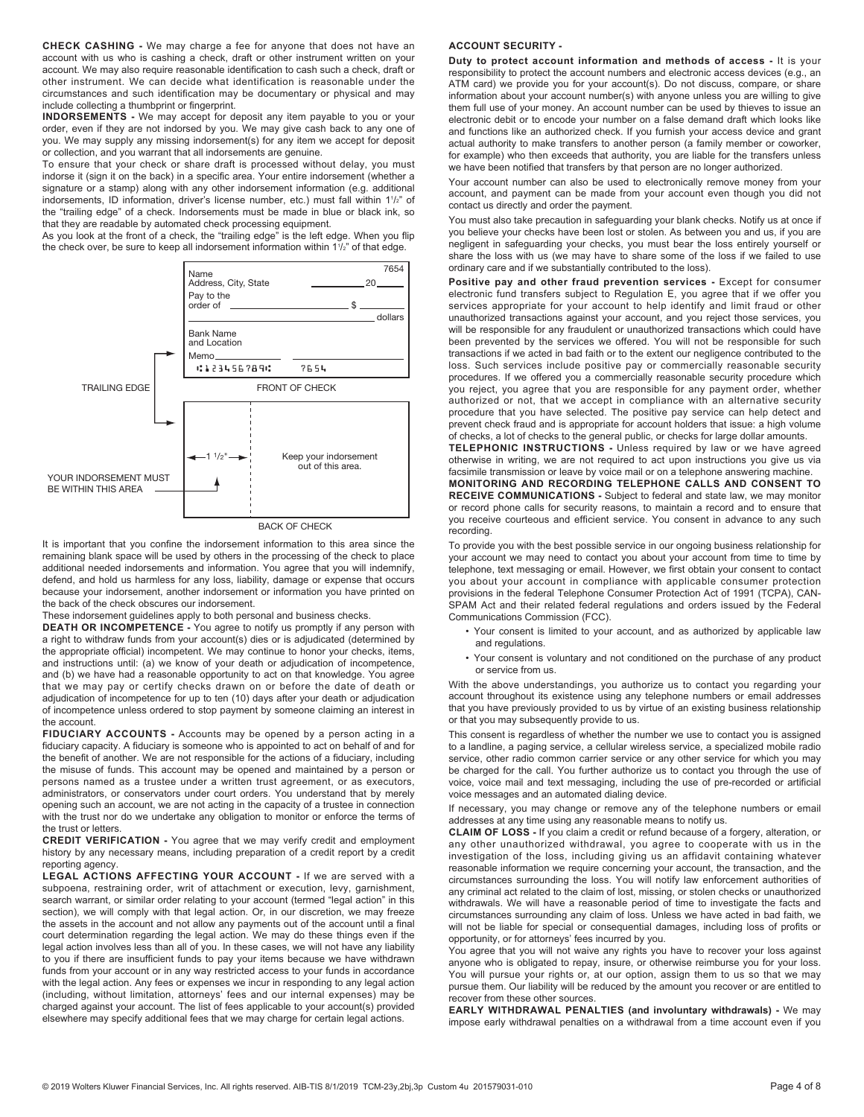**CHECK CASHING -** We may charge a fee for anyone that does not have an account with us who is cashing a check, draft or other instrument written on your account. We may also require reasonable identification to cash such a check, draft or other instrument. We can decide what identification is reasonable under the circumstances and such identification may be documentary or physical and may include collecting a thumbprint or fingerprint.

**INDORSEMENTS -** We may accept for deposit any item payable to you or your order, even if they are not indorsed by you. We may give cash back to any one of you. We may supply any missing indorsement(s) for any item we accept for deposit or collection, and you warrant that all indorsements are genuine.

To ensure that your check or share draft is processed without delay, you must indorse it (sign it on the back) in a specific area. Your entire indorsement (whether a signature or a stamp) along with any other indorsement information (e.g. additional indorsements, ID information, driver's license number, etc.) must fall within 11/2" of the "trailing edge" of a check. Indorsements must be made in blue or black ink, so that they are readable by automated check processing equipment.

As you look at the front of a check, the "trailing edge" is the left edge. When you flip the check over, be sure to keep all indorsement information within 1<sup>1</sup>/<sub>2</sub>" of that edge.



BACK OF CHECK

It is important that you confine the indorsement information to this area since the remaining blank space will be used by others in the processing of the check to place additional needed indorsements and information. You agree that you will indemnify, defend, and hold us harmless for any loss, liability, damage or expense that occurs because your indorsement, another indorsement or information you have printed on the back of the check obscures our indorsement.

These indorsement guidelines apply to both personal and business checks.

**DEATH OR INCOMPETENCE -** You agree to notify us promptly if any person with a right to withdraw funds from your account(s) dies or is adjudicated (determined by the appropriate official) incompetent. We may continue to honor your checks, items, and instructions until: (a) we know of your death or adjudication of incompetence, and (b) we have had a reasonable opportunity to act on that knowledge. You agree that we may pay or certify checks drawn on or before the date of death or adjudication of incompetence for up to ten (10) days after your death or adjudication of incompetence unless ordered to stop payment by someone claiming an interest in the account.

**FIDUCIARY ACCOUNTS -** Accounts may be opened by a person acting in a fiduciary capacity. A fiduciary is someone who is appointed to act on behalf of and for the benefit of another. We are not responsible for the actions of a fiduciary, including the misuse of funds. This account may be opened and maintained by a person or persons named as a trustee under a written trust agreement, or as executors, administrators, or conservators under court orders. You understand that by merely opening such an account, we are not acting in the capacity of a trustee in connection with the trust nor do we undertake any obligation to monitor or enforce the terms of the trust or letters.

**CREDIT VERIFICATION -** You agree that we may verify credit and employment history by any necessary means, including preparation of a credit report by a credit reporting agency.

**LEGAL ACTIONS AFFECTING YOUR ACCOUNT -** If we are served with a subpoena, restraining order, writ of attachment or execution, levy, garnishment, search warrant, or similar order relating to your account (termed "legal action" in this section), we will comply with that legal action. Or, in our discretion, we may freeze the assets in the account and not allow any payments out of the account until a final court determination regarding the legal action. We may do these things even if the legal action involves less than all of you. In these cases, we will not have any liability to you if there are insufficient funds to pay your items because we have withdrawn funds from your account or in any way restricted access to your funds in accordance with the legal action. Any fees or expenses we incur in responding to any legal action (including, without limitation, attorneys' fees and our internal expenses) may be charged against your account. The list of fees applicable to your account(s) provided elsewhere may specify additional fees that we may charge for certain legal actions.

## **ACCOUNT SECURITY -**

**Duty to protect account information and methods of access -** It is your responsibility to protect the account numbers and electronic access devices (e.g., an ATM card) we provide you for your account(s). Do not discuss, compare, or share information about your account number(s) with anyone unless you are willing to give them full use of your money. An account number can be used by thieves to issue an electronic debit or to encode your number on a false demand draft which looks like and functions like an authorized check. If you furnish your access device and grant actual authority to make transfers to another person (a family member or coworker, for example) who then exceeds that authority, you are liable for the transfers unless we have been notified that transfers by that person are no longer authorized.

Your account number can also be used to electronically remove money from your account, and payment can be made from your account even though you did not contact us directly and order the payment.

You must also take precaution in safeguarding your blank checks. Notify us at once if you believe your checks have been lost or stolen. As between you and us, if you are negligent in safeguarding your checks, you must bear the loss entirely yourself or share the loss with us (we may have to share some of the loss if we failed to use ordinary care and if we substantially contributed to the loss).

Positive pay and other fraud prevention services - Except for consumer electronic fund transfers subject to Regulation E, you agree that if we offer you services appropriate for your account to help identify and limit fraud or other unauthorized transactions against your account, and you reject those services, you will be responsible for any fraudulent or unauthorized transactions which could have been prevented by the services we offered. You will not be responsible for such transactions if we acted in bad faith or to the extent our negligence contributed to the loss. Such services include positive pay or commercially reasonable security procedures. If we offered you a commercially reasonable security procedure which you reject, you agree that you are responsible for any payment order, whether authorized or not, that we accept in compliance with an alternative security procedure that you have selected. The positive pay service can help detect and prevent check fraud and is appropriate for account holders that issue: a high volume of checks, a lot of checks to the general public, or checks for large dollar amounts.

**TELEPHONIC INSTRUCTIONS -** Unless required by law or we have agreed otherwise in writing, we are not required to act upon instructions you give us via facsimile transmission or leave by voice mail or on a telephone answering machine.

**MONITORING AND RECORDING TELEPHONE CALLS AND CONSENT TO RECEIVE COMMUNICATIONS -** Subject to federal and state law, we may monitor or record phone calls for security reasons, to maintain a record and to ensure that you receive courteous and efficient service. You consent in advance to any such recording.

To provide you with the best possible service in our ongoing business relationship for your account we may need to contact you about your account from time to time by telephone, text messaging or email. However, we first obtain your consent to contact you about your account in compliance with applicable consumer protection provisions in the federal Telephone Consumer Protection Act of 1991 (TCPA), CAN-SPAM Act and their related federal regulations and orders issued by the Federal Communications Commission (FCC).

- Your consent is limited to your account, and as authorized by applicable law and regulations.
- Your consent is voluntary and not conditioned on the purchase of any product or service from us.

With the above understandings, you authorize us to contact you regarding your account throughout its existence using any telephone numbers or email addresses that you have previously provided to us by virtue of an existing business relationship or that you may subsequently provide to us.

This consent is regardless of whether the number we use to contact you is assigned to a landline, a paging service, a cellular wireless service, a specialized mobile radio service, other radio common carrier service or any other service for which you may be charged for the call. You further authorize us to contact you through the use of voice, voice mail and text messaging, including the use of pre-recorded or artificial voice messages and an automated dialing device.

If necessary, you may change or remove any of the telephone numbers or email addresses at any time using any reasonable means to notify us.

**CLAIM OF LOSS -** If you claim a credit or refund because of a forgery, alteration, or any other unauthorized withdrawal, you agree to cooperate with us in the investigation of the loss, including giving us an affidavit containing whatever reasonable information we require concerning your account, the transaction, and the circumstances surrounding the loss. You will notify law enforcement authorities of any criminal act related to the claim of lost, missing, or stolen checks or unauthorized withdrawals. We will have a reasonable period of time to investigate the facts and circumstances surrounding any claim of loss. Unless we have acted in bad faith, we will not be liable for special or consequential damages, including loss of profits or opportunity, or for attorneys' fees incurred by you.

You agree that you will not waive any rights you have to recover your loss against anyone who is obligated to repay, insure, or otherwise reimburse you for your loss. You will pursue your rights or, at our option, assign them to us so that we may pursue them. Our liability will be reduced by the amount you recover or are entitled to recover from these other sources.

**EARLY WITHDRAWAL PENALTIES (and involuntary withdrawals) -** We may impose early withdrawal penalties on a withdrawal from a time account even if you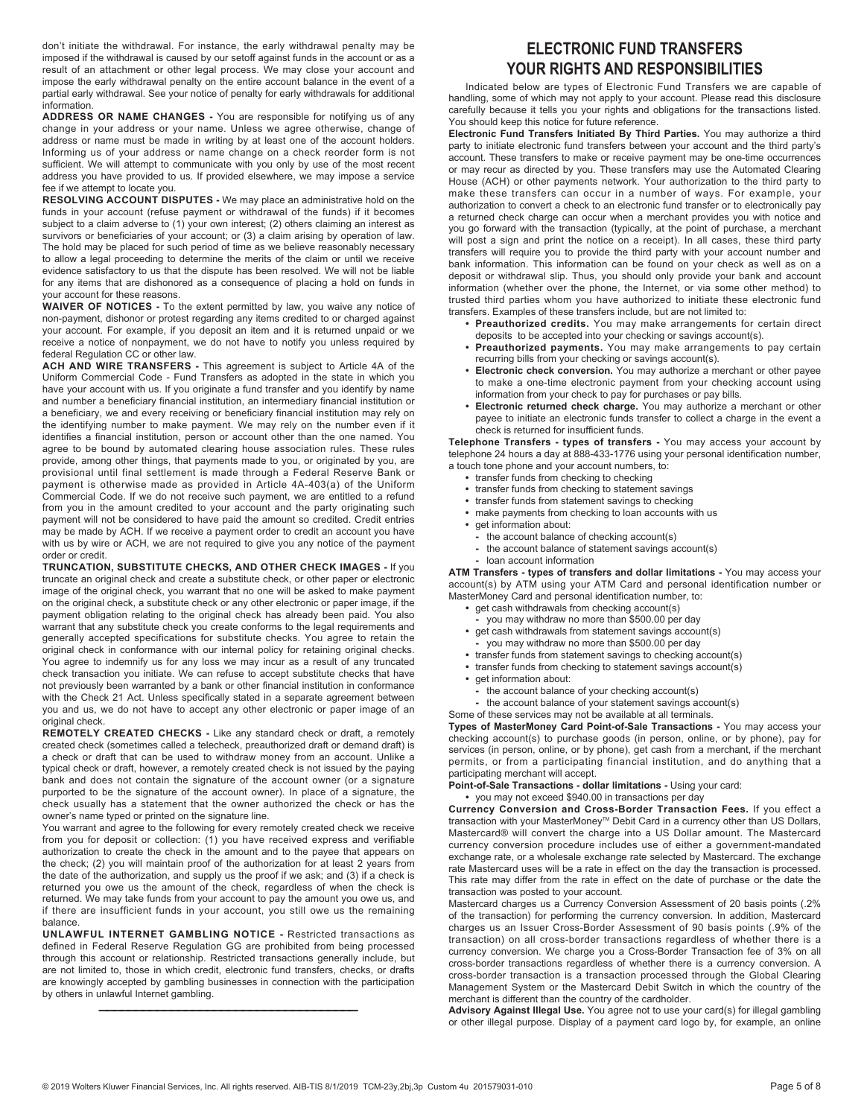don't initiate the withdrawal. For instance, the early withdrawal penalty may be imposed if the withdrawal is caused by our setoff against funds in the account or as a result of an attachment or other legal process. We may close your account and impose the early withdrawal penalty on the entire account balance in the event of a partial early withdrawal. See your notice of penalty for early withdrawals for additional information.

**ADDRESS OR NAME CHANGES -** You are responsible for notifying us of any change in your address or your name. Unless we agree otherwise, change of address or name must be made in writing by at least one of the account holders. Informing us of your address or name change on a check reorder form is not sufficient. We will attempt to communicate with you only by use of the most recent address you have provided to us. If provided elsewhere, we may impose a service fee if we attempt to locate you.

**RESOLVING ACCOUNT DISPUTES -** We may place an administrative hold on the funds in your account (refuse payment or withdrawal of the funds) if it becomes subject to a claim adverse to (1) your own interest; (2) others claiming an interest as survivors or beneficiaries of your account; or (3) a claim arising by operation of law. The hold may be placed for such period of time as we believe reasonably necessary to allow a legal proceeding to determine the merits of the claim or until we receive evidence satisfactory to us that the dispute has been resolved. We will not be liable for any items that are dishonored as a consequence of placing a hold on funds in your account for these reasons.

**WAIVER OF NOTICES -** To the extent permitted by law, you waive any notice of non-payment, dishonor or protest regarding any items credited to or charged against your account. For example, if you deposit an item and it is returned unpaid or we receive a notice of nonpayment, we do not have to notify you unless required by federal Regulation CC or other law.

**ACH AND WIRE TRANSFERS -** This agreement is subject to Article 4A of the Uniform Commercial Code - Fund Transfers as adopted in the state in which you have your account with us. If you originate a fund transfer and you identify by name and number a beneficiary financial institution, an intermediary financial institution or a beneficiary, we and every receiving or beneficiary financial institution may rely on the identifying number to make payment. We may rely on the number even if it identifies a financial institution, person or account other than the one named. You agree to be bound by automated clearing house association rules. These rules provide, among other things, that payments made to you, or originated by you, are provisional until final settlement is made through a Federal Reserve Bank or payment is otherwise made as provided in Article 4A-403(a) of the Uniform Commercial Code. If we do not receive such payment, we are entitled to a refund from you in the amount credited to your account and the party originating such payment will not be considered to have paid the amount so credited. Credit entries may be made by ACH. If we receive a payment order to credit an account you have with us by wire or ACH, we are not required to give you any notice of the payment order or credit.

**TRUNCATION, SUBSTITUTE CHECKS, AND OTHER CHECK IMAGES -** If you truncate an original check and create a substitute check, or other paper or electronic image of the original check, you warrant that no one will be asked to make payment on the original check, a substitute check or any other electronic or paper image, if the payment obligation relating to the original check has already been paid. You also warrant that any substitute check you create conforms to the legal requirements and generally accepted specifications for substitute checks. You agree to retain the original check in conformance with our internal policy for retaining original checks. You agree to indemnify us for any loss we may incur as a result of any truncated check transaction you initiate. We can refuse to accept substitute checks that have not previously been warranted by a bank or other financial institution in conformance with the Check 21 Act. Unless specifically stated in a separate agreement between you and us, we do not have to accept any other electronic or paper image of an original check.

**REMOTELY CREATED CHECKS -** Like any standard check or draft, a remotely created check (sometimes called a telecheck, preauthorized draft or demand draft) is a check or draft that can be used to withdraw money from an account. Unlike a typical check or draft, however, a remotely created check is not issued by the paying bank and does not contain the signature of the account owner (or a signature purported to be the signature of the account owner). In place of a signature, the check usually has a statement that the owner authorized the check or has the owner's name typed or printed on the signature line.

You warrant and agree to the following for every remotely created check we receive from you for deposit or collection: (1) you have received express and verifiable authorization to create the check in the amount and to the payee that appears on the check; (2) you will maintain proof of the authorization for at least 2 years from the date of the authorization, and supply us the proof if we ask; and (3) if a check is returned you owe us the amount of the check, regardless of when the check is returned. We may take funds from your account to pay the amount you owe us, and if there are insufficient funds in your account, you still owe us the remaining balance.

**UNLAWFUL INTERNET GAMBLING NOTICE -** Restricted transactions as defined in Federal Reserve Regulation GG are prohibited from being processed through this account or relationship. Restricted transactions generally include, but are not limited to, those in which credit, electronic fund transfers, checks, or drafts are knowingly accepted by gambling businesses in connection with the participation by others in unlawful Internet gambling.

————————————————————————————————————

# **ELECTRONIC FUND TRANSFERS YOUR RIGHTS AND RESPONSIBILITIES**

Indicated below are types of Electronic Fund Transfers we are capable of handling, some of which may not apply to your account. Please read this disclosure carefully because it tells you your rights and obligations for the transactions listed. You should keep this notice for future reference.

**Electronic Fund Transfers Initiated By Third Parties.** You may authorize a third party to initiate electronic fund transfers between your account and the third party's account. These transfers to make or receive payment may be one-time occurrences or may recur as directed by you. These transfers may use the Automated Clearing House (ACH) or other payments network. Your authorization to the third party to make these transfers can occur in a number of ways. For example, your authorization to convert a check to an electronic fund transfer or to electronically pay a returned check charge can occur when a merchant provides you with notice and you go forward with the transaction (typically, at the point of purchase, a merchant will post a sign and print the notice on a receipt). In all cases, these third party transfers will require you to provide the third party with your account number and bank information. This information can be found on your check as well as on a deposit or withdrawal slip. Thus, you should only provide your bank and account information (whether over the phone, the Internet, or via some other method) to trusted third parties whom you have authorized to initiate these electronic fund transfers. Examples of these transfers include, but are not limited to:

- **Preauthorized credits.** You may make arrangements for certain direct deposits to be accepted into your checking or savings account(s).
- **Preauthorized payments.** You may make arrangements to pay certain recurring bills from your checking or savings account(s).
- **Electronic check conversion.** You may authorize a merchant or other payee to make a one-time electronic payment from your checking account using information from your check to pay for purchases or pay bills.
- **Electronic returned check charge.** You may authorize a merchant or other payee to initiate an electronic funds transfer to collect a charge in the event a check is returned for insufficient funds.

**Telephone Transfers - types of transfers -** You may access your account by telephone 24 hours a day at 888-433-1776 using your personal identification number, a touch tone phone and your account numbers, to:

- **•** transfer funds from checking to checking
- **•** transfer funds from checking to statement savings
- **•** transfer funds from statement savings to checking
- **•** make payments from checking to loan accounts with us
- **•** get information about:
	- **-** the account balance of checking account(s)
	- **-** the account balance of statement savings account(s)
- **-** loan account information

**ATM Transfers - types of transfers and dollar limitations -** You may access your account(s) by ATM using your ATM Card and personal identification number or MasterMoney Card and personal identification number, to:

- **•** get cash withdrawals from checking account(s)
	- **-** you may withdraw no more than \$500.00 per day
- **•** get cash withdrawals from statement savings account(s)
- **-** you may withdraw no more than \$500.00 per day
- **•** transfer funds from statement savings to checking account(s)
- **•** transfer funds from checking to statement savings account(s)
- **•** get information about:
- **-** the account balance of your checking account(s)
- **-** the account balance of your statement savings account(s)
- Some of these services may not be available at all terminals.

**Types of MasterMoney Card Point-of-Sale Transactions -** You may access your checking account(s) to purchase goods (in person, online, or by phone), pay for services (in person, online, or by phone), get cash from a merchant, if the merchant permits, or from a participating financial institution, and do anything that a participating merchant will accept.

**Point-of-Sale Transactions - dollar limitations -** Using your card:

**•** you may not exceed \$940.00 in transactions per day

**Currency Conversion and Cross-Border Transaction Fees.** If you effect a transaction with your MasterMoney™ Debit Card in a currency other than US Dollars, Mastercard® will convert the charge into a US Dollar amount. The Mastercard currency conversion procedure includes use of either a government-mandated exchange rate, or a wholesale exchange rate selected by Mastercard. The exchange rate Mastercard uses will be a rate in effect on the day the transaction is processed. This rate may differ from the rate in effect on the date of purchase or the date the transaction was posted to your account.

Mastercard charges us a Currency Conversion Assessment of 20 basis points (.2% of the transaction) for performing the currency conversion. In addition, Mastercard charges us an Issuer Cross-Border Assessment of 90 basis points (.9% of the transaction) on all cross-border transactions regardless of whether there is a currency conversion. We charge you a Cross-Border Transaction fee of 3% on all cross-border transactions regardless of whether there is a currency conversion. A cross-border transaction is a transaction processed through the Global Clearing Management System or the Mastercard Debit Switch in which the country of the merchant is different than the country of the cardholder.

**Advisory Against Illegal Use.** You agree not to use your card(s) for illegal gambling or other illegal purpose. Display of a payment card logo by, for example, an online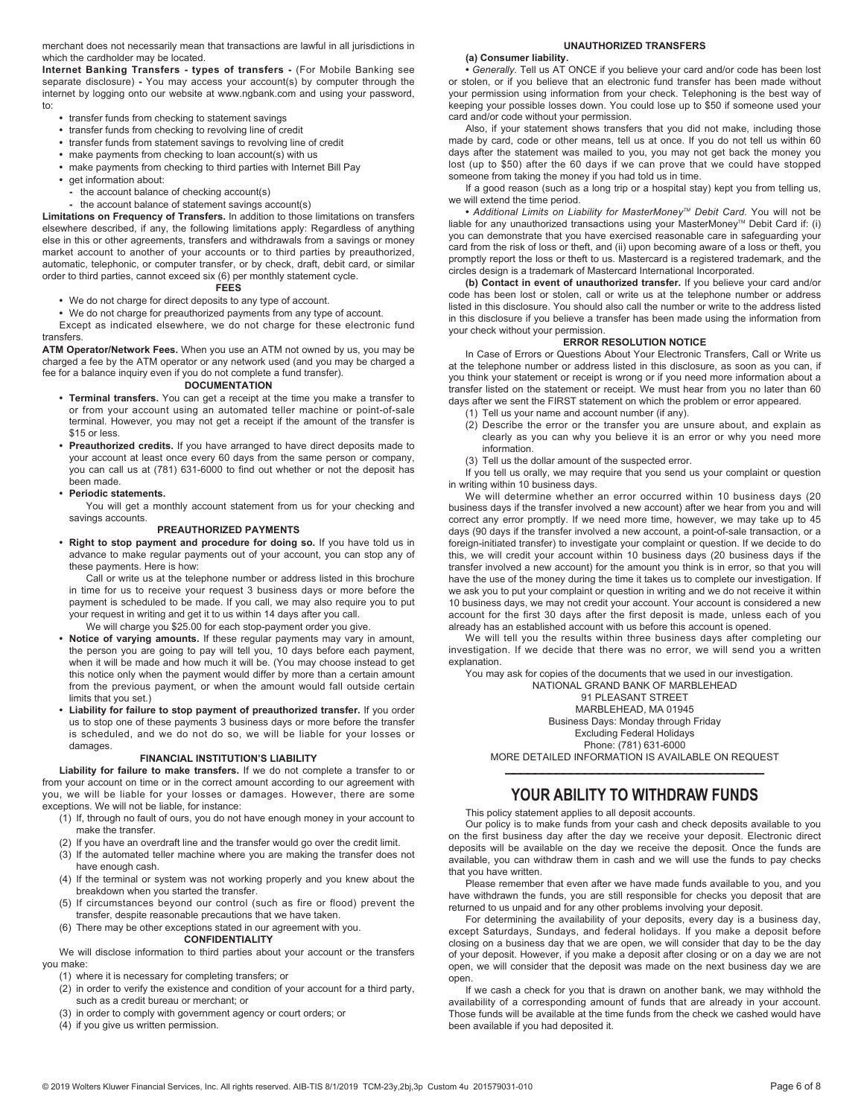merchant does not necessarily mean that transactions are lawful in all jurisdictions in which the cardholder may be located.

**Internet Banking Transfers - types of transfers -** (For Mobile Banking see separate disclosure) **-** You may access your account(s) by computer through the internet by logging onto our website at www.ngbank.com and using your password, to:

- **•** transfer funds from checking to statement savings
- **•** transfer funds from checking to revolving line of credit
- **•** transfer funds from statement savings to revolving line of credit
- **•** make payments from checking to loan account(s) with us
- **•** make payments from checking to third parties with Internet Bill Pay
- **•** get information about:
	- **-** the account balance of checking account(s)
	- **-** the account balance of statement savings account(s)

**Limitations on Frequency of Transfers.** In addition to those limitations on transfers elsewhere described, if any, the following limitations apply: Regardless of anything else in this or other agreements, transfers and withdrawals from a savings or money market account to another of your accounts or to third parties by preauthorized, automatic, telephonic, or computer transfer, or by check, draft, debit card, or similar order to third parties, cannot exceed six (6) per monthly statement cycle.

#### **FEES**

**•** We do not charge for direct deposits to any type of account.

**•** We do not charge for preauthorized payments from any type of account.

Except as indicated elsewhere, we do not charge for these electronic fund transfers.

**ATM Operator/Network Fees.** When you use an ATM not owned by us, you may be charged a fee by the ATM operator or any network used (and you may be charged a fee for a balance inquiry even if you do not complete a fund transfer).

## **DOCUMENTATION**

- **Terminal transfers.** You can get a receipt at the time you make a transfer to or from your account using an automated teller machine or point-of-sale terminal. However, you may not get a receipt if the amount of the transfer is \$15 or less.
- **Preauthorized credits.** If you have arranged to have direct deposits made to your account at least once every 60 days from the same person or company, you can call us at (781) 631-6000 to find out whether or not the deposit has been made.

#### **• Periodic statements.**

You will get a monthly account statement from us for your checking and savings accounts.

### **PREAUTHORIZED PAYMENTS**

**• Right to stop payment and procedure for doing so.** If you have told us in advance to make regular payments out of your account, you can stop any of these payments. Here is how:

Call or write us at the telephone number or address listed in this brochure in time for us to receive your request 3 business days or more before the payment is scheduled to be made. If you call, we may also require you to put your request in writing and get it to us within 14 days after you call.

We will charge you \$25.00 for each stop-payment order you give.

- **Notice of varying amounts.** If these regular payments may vary in amount, the person you are going to pay will tell you, 10 days before each payment, when it will be made and how much it will be. (You may choose instead to get this notice only when the payment would differ by more than a certain amount from the previous payment, or when the amount would fall outside certain limits that you set.)
- **Liability for failure to stop payment of preauthorized transfer.** If you order us to stop one of these payments 3 business days or more before the transfer is scheduled, and we do not do so, we will be liable for your losses or damages.

#### **FINANCIAL INSTITUTION'S LIABILITY**

**Liability for failure to make transfers.** If we do not complete a transfer to or from your account on time or in the correct amount according to our agreement with you, we will be liable for your losses or damages. However, there are some exceptions. We will not be liable, for instance:

- (1) If, through no fault of ours, you do not have enough money in your account to make the transfer.
- (2) If you have an overdraft line and the transfer would go over the credit limit.
- (3) If the automated teller machine where you are making the transfer does not
- have enough cash.
- (4) If the terminal or system was not working properly and you knew about the breakdown when you started the transfer.
- (5) If circumstances beyond our control (such as fire or flood) prevent the transfer, despite reasonable precautions that we have taken.
- (6) There may be other exceptions stated in our agreement with you.

#### **CONFIDENTIALITY**

We will disclose information to third parties about your account or the transfers you make:

- (1) where it is necessary for completing transfers; or
- (2) in order to verify the existence and condition of your account for a third party, such as a credit bureau or merchant; or
- (3) in order to comply with government agency or court orders; or
- (4) if you give us written permission.

## **UNAUTHORIZED TRANSFERS**

#### **(a) Consumer liability.**

**•** *Generally.* Tell us AT ONCE if you believe your card and/or code has been lost or stolen, or if you believe that an electronic fund transfer has been made without your permission using information from your check. Telephoning is the best way of keeping your possible losses down. You could lose up to \$50 if someone used your card and/or code without your permission.

Also, if your statement shows transfers that you did not make, including those made by card, code or other means, tell us at once. If you do not tell us within 60 days after the statement was mailed to you, you may not get back the money you lost (up to \$50) after the 60 days if we can prove that we could have stopped someone from taking the money if you had told us in time.

If a good reason (such as a long trip or a hospital stay) kept you from telling us, we will extend the time period.

**•** *Additional Limits on Liability for MasterMoneyTM Debit Card.* You will not be liable for any unauthorized transactions using your MasterMoney™ Debit Card if: (i) you can demonstrate that you have exercised reasonable care in safeguarding your card from the risk of loss or theft, and (ii) upon becoming aware of a loss or theft, you promptly report the loss or theft to us. Mastercard is a registered trademark, and the circles design is a trademark of Mastercard International Incorporated.

**(b) Contact in event of unauthorized transfer.** If you believe your card and/or code has been lost or stolen, call or write us at the telephone number or address listed in this disclosure. You should also call the number or write to the address listed in this disclosure if you believe a transfer has been made using the information from your check without your permission.

### **ERROR RESOLUTION NOTICE**

In Case of Errors or Questions About Your Electronic Transfers, Call or Write us at the telephone number or address listed in this disclosure, as soon as you can, if you think your statement or receipt is wrong or if you need more information about a transfer listed on the statement or receipt. We must hear from you no later than 60 days after we sent the FIRST statement on which the problem or error appeared.

- (1) Tell us your name and account number (if any).
- (2) Describe the error or the transfer you are unsure about, and explain as clearly as you can why you believe it is an error or why you need more information.
- (3) Tell us the dollar amount of the suspected error.

If you tell us orally, we may require that you send us your complaint or question in writing within 10 business days.

We will determine whether an error occurred within 10 business days (20 business days if the transfer involved a new account) after we hear from you and will correct any error promptly. If we need more time, however, we may take up to 45 days (90 days if the transfer involved a new account, a point-of-sale transaction, or a foreign-initiated transfer) to investigate your complaint or question. If we decide to do this, we will credit your account within 10 business days (20 business days if the transfer involved a new account) for the amount you think is in error, so that you will have the use of the money during the time it takes us to complete our investigation. If we ask you to put your complaint or question in writing and we do not receive it within 10 business days, we may not credit your account. Your account is considered a new account for the first 30 days after the first deposit is made, unless each of you already has an established account with us before this account is opened.

We will tell you the results within three business days after completing our investigation. If we decide that there was no error, we will send you a written explanation.

You may ask for copies of the documents that we used in our investigation. NATIONAL GRAND BANK OF MARBLEHEAD 91 PLEASANT STREET MARBLEHEAD, MA 01945 Business Days: Monday through Friday Excluding Federal Holidays

Phone: (781) 631-6000 MORE DETAILED INFORMATION IS AVAILABLE ON REQUEST

# ———————————————————————————————————— **YOUR ABILITY TO WITHDRAW FUNDS**

This policy statement applies to all deposit accounts.

Our policy is to make funds from your cash and check deposits available to you on the first business day after the day we receive your deposit. Electronic direct deposits will be available on the day we receive the deposit. Once the funds are available, you can withdraw them in cash and we will use the funds to pay checks that you have written.

Please remember that even after we have made funds available to you, and you have withdrawn the funds, you are still responsible for checks you deposit that are returned to us unpaid and for any other problems involving your deposit.

For determining the availability of your deposits, every day is a business day, except Saturdays, Sundays, and federal holidays. If you make a deposit before closing on a business day that we are open, we will consider that day to be the day of your deposit. However, if you make a deposit after closing or on a day we are not open, we will consider that the deposit was made on the next business day we are open.

If we cash a check for you that is drawn on another bank, we may withhold the availability of a corresponding amount of funds that are already in your account. Those funds will be available at the time funds from the check we cashed would have been available if you had deposited it.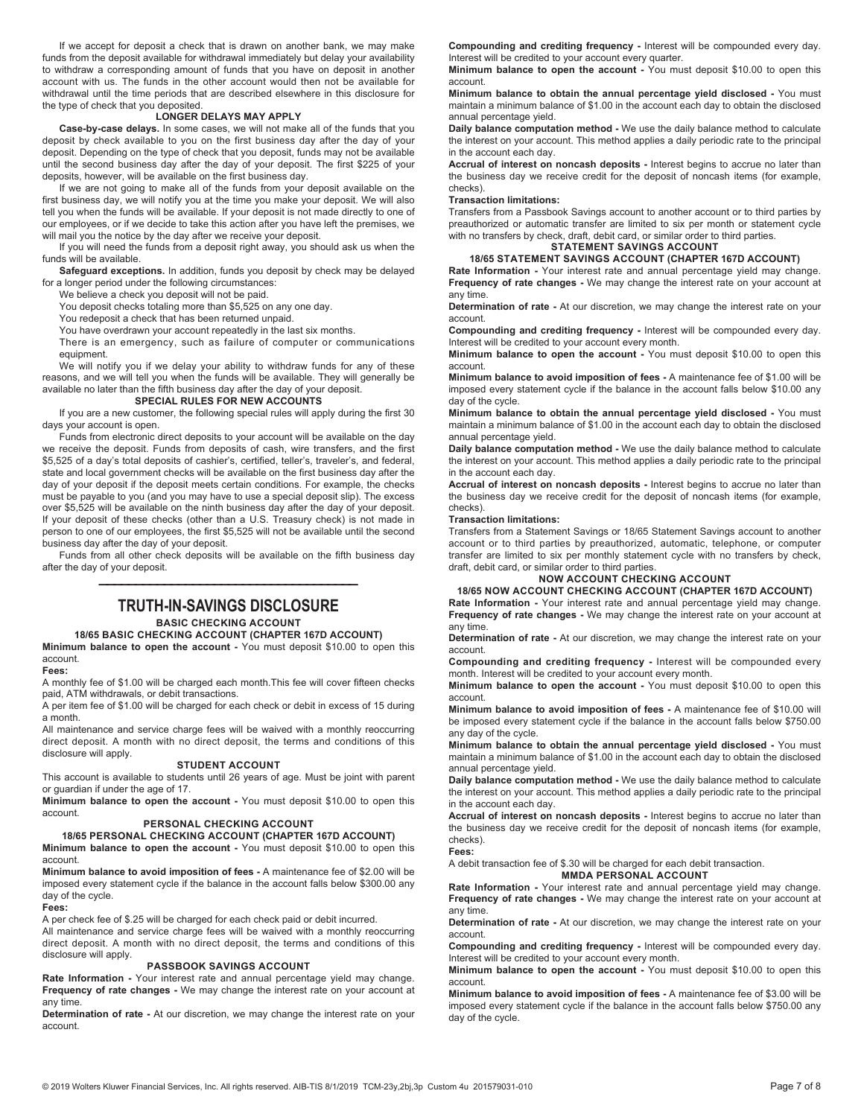If we accept for deposit a check that is drawn on another bank, we may make funds from the deposit available for withdrawal immediately but delay your availability to withdraw a corresponding amount of funds that you have on deposit in another account with us. The funds in the other account would then not be available for withdrawal until the time periods that are described elsewhere in this disclosure for the type of check that you deposited.

## **LONGER DELAYS MAY APPLY**

**Case-by-case delays.** In some cases, we will not make all of the funds that you deposit by check available to you on the first business day after the day of your deposit. Depending on the type of check that you deposit, funds may not be available until the second business day after the day of your deposit. The first \$225 of your deposits, however, will be available on the first business day.

If we are not going to make all of the funds from your deposit available on the first business day, we will notify you at the time you make your deposit. We will also tell you when the funds will be available. If your deposit is not made directly to one of our employees, or if we decide to take this action after you have left the premises, we will mail you the notice by the day after we receive your deposit.

If you will need the funds from a deposit right away, you should ask us when the funds will be available.

**Safeguard exceptions.** In addition, funds you deposit by check may be delayed for a longer period under the following circumstances:

We believe a check you deposit will not be paid.

You deposit checks totaling more than \$5,525 on any one day.

You redeposit a check that has been returned unpaid.

You have overdrawn your account repeatedly in the last six months.

There is an emergency, such as failure of computer or communications equipment.

We will notify you if we delay your ability to withdraw funds for any of these reasons, and we will tell you when the funds will be available. They will generally be available no later than the fifth business day after the day of your deposit.

#### **SPECIAL RULES FOR NEW ACCOUNTS**

If you are a new customer, the following special rules will apply during the first 30 days your account is open.

Funds from electronic direct deposits to your account will be available on the day we receive the deposit. Funds from deposits of cash, wire transfers, and the first \$5,525 of a day's total deposits of cashier's, certified, teller's, traveler's, and federal, state and local government checks will be available on the first business day after the day of your deposit if the deposit meets certain conditions. For example, the checks must be payable to you (and you may have to use a special deposit slip). The excess over \$5,525 will be available on the ninth business day after the day of your deposit. If your deposit of these checks (other than a U.S. Treasury check) is not made in person to one of our employees, the first \$5,525 will not be available until the second business day after the day of your deposit.

Funds from all other check deposits will be available on the fifth business day after the day of your deposit.

# ———————————————————————————————————— **TRUTH-IN-SAVINGS DISCLOSURE**

## **BASIC CHECKING ACCOUNT**

## **18/65 BASIC CHECKING ACCOUNT (CHAPTER 167D ACCOUNT)**

**Minimum balance to open the account -** You must deposit \$10.00 to open this account.

**Fees:**

A monthly fee of \$1.00 will be charged each month.This fee will cover fifteen checks paid, ATM withdrawals, or debit transactions.

A per item fee of \$1.00 will be charged for each check or debit in excess of 15 during a month.

All maintenance and service charge fees will be waived with a monthly reoccurring direct deposit. A month with no direct deposit, the terms and conditions of this disclosure will apply.

### **STUDENT ACCOUNT**

This account is available to students until 26 years of age. Must be joint with parent or guardian if under the age of 17.

**Minimum balance to open the account -** You must deposit \$10.00 to open this account.

#### **PERSONAL CHECKING ACCOUNT**

### **18/65 PERSONAL CHECKING ACCOUNT (CHAPTER 167D ACCOUNT)**

**Minimum balance to open the account -** You must deposit \$10.00 to open this account.

**Minimum balance to avoid imposition of fees -** A maintenance fee of \$2.00 will be imposed every statement cycle if the balance in the account falls below \$300.00 any day of the cycle.

#### **Fees:**

A per check fee of \$.25 will be charged for each check paid or debit incurred.

All maintenance and service charge fees will be waived with a monthly reoccurring direct deposit. A month with no direct deposit, the terms and conditions of this disclosure will apply.

#### **PASSBOOK SAVINGS ACCOUNT**

**Rate Information -** Your interest rate and annual percentage yield may change. **Frequency of rate changes -** We may change the interest rate on your account at any time.

**Determination of rate -** At our discretion, we may change the interest rate on your account.

**Compounding and crediting frequency -** Interest will be compounded every day. Interest will be credited to your account every quarter.

**Minimum balance to open the account -** You must deposit \$10.00 to open this account.

**Minimum balance to obtain the annual percentage yield disclosed -** You must maintain a minimum balance of \$1.00 in the account each day to obtain the disclosed annual percentage yield.

**Daily balance computation method -** We use the daily balance method to calculate the interest on your account. This method applies a daily periodic rate to the principal in the account each day.

**Accrual of interest on noncash deposits -** Interest begins to accrue no later than the business day we receive credit for the deposit of noncash items (for example, checks).

**Transaction limitations:**

Transfers from a Passbook Savings account to another account or to third parties by preauthorized or automatic transfer are limited to six per month or statement cycle with no transfers by check, draft, debit card, or similar order to third parties. **STATEMENT SAVINGS ACCOUNT** 

# **18/65 STATEMENT SAVINGS ACCOUNT (CHAPTER 167D ACCOUNT)**

**Rate Information -** Your interest rate and annual percentage yield may change. **Frequency of rate changes -** We may change the interest rate on your account at any time.

**Determination of rate -** At our discretion, we may change the interest rate on your account.

**Compounding and crediting frequency -** Interest will be compounded every day. Interest will be credited to your account every month.

**Minimum balance to open the account -** You must deposit \$10.00 to open this account.

**Minimum balance to avoid imposition of fees -** A maintenance fee of \$1.00 will be imposed every statement cycle if the balance in the account falls below \$10.00 any day of the cycle.

**Minimum balance to obtain the annual percentage yield disclosed -** You must maintain a minimum balance of \$1.00 in the account each day to obtain the disclosed annual percentage yield.

**Daily balance computation method -** We use the daily balance method to calculate the interest on your account. This method applies a daily periodic rate to the principal in the account each day.

**Accrual of interest on noncash deposits -** Interest begins to accrue no later than the business day we receive credit for the deposit of noncash items (for example, checks).

#### **Transaction limitations:**

Transfers from a Statement Savings or 18/65 Statement Savings account to another account or to third parties by preauthorized, automatic, telephone, or computer transfer are limited to six per monthly statement cycle with no transfers by check, draft, debit card, or similar order to third parties.

#### **NOW ACCOUNT CHECKING ACCOUNT**

**18/65 NOW ACCOUNT CHECKING ACCOUNT (CHAPTER 167D ACCOUNT)** 

**Rate Information -** Your interest rate and annual percentage yield may change. **Frequency of rate changes -** We may change the interest rate on your account at any time.

**Determination of rate -** At our discretion, we may change the interest rate on your account.

**Compounding and crediting frequency -** Interest will be compounded every month. Interest will be credited to your account every month.

**Minimum balance to open the account -** You must deposit \$10.00 to open this account.

**Minimum balance to avoid imposition of fees -** A maintenance fee of \$10.00 will be imposed every statement cycle if the balance in the account falls below \$750.00 any day of the cycle.

**Minimum balance to obtain the annual percentage yield disclosed -** You must maintain a minimum balance of \$1.00 in the account each day to obtain the disclosed annual percentage yield.

**Daily balance computation method -** We use the daily balance method to calculate the interest on your account. This method applies a daily periodic rate to the principal in the account each day.

**Accrual of interest on noncash deposits -** Interest begins to accrue no later than the business day we receive credit for the deposit of noncash items (for example, checks).

## **Fees:**

A debit transaction fee of \$.30 will be charged for each debit transaction. **MMDA PERSONAL ACCOUNT** 

**Rate Information -** Your interest rate and annual percentage yield may change. **Frequency of rate changes -** We may change the interest rate on your account at any time.

**Determination of rate -** At our discretion, we may change the interest rate on your account.

**Compounding and crediting frequency -** Interest will be compounded every day. Interest will be credited to your account every month.

**Minimum balance to open the account -** You must deposit \$10.00 to open this account.

**Minimum balance to avoid imposition of fees -** A maintenance fee of \$3.00 will be imposed every statement cycle if the balance in the account falls below \$750.00 any day of the cycle.